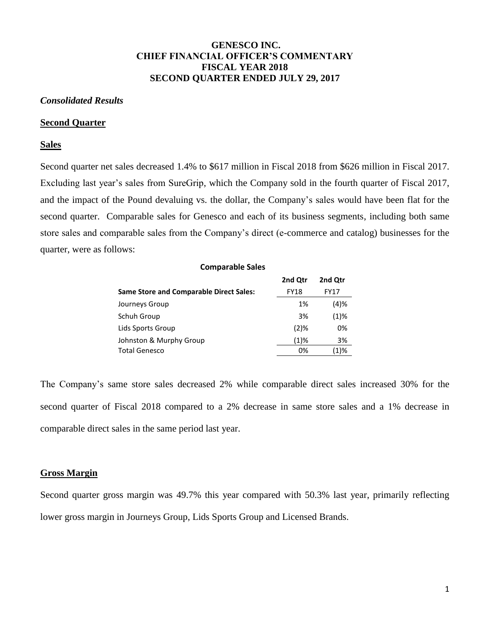# **GENESCO INC. CHIEF FINANCIAL OFFICER'S COMMENTARY FISCAL YEAR 2018 SECOND QUARTER ENDED JULY 29, 2017**

## *Consolidated Results*

#### **Second Quarter**

## **Sales**

Second quarter net sales decreased 1.4% to \$617 million in Fiscal 2018 from \$626 million in Fiscal 2017. Excluding last year's sales from SureGrip, which the Company sold in the fourth quarter of Fiscal 2017, and the impact of the Pound devaluing vs. the dollar, the Company's sales would have been flat for the second quarter. Comparable sales for Genesco and each of its business segments, including both same store sales and comparable sales from the Company's direct (e-commerce and catalog) businesses for the quarter, were as follows:

| <b>Comparable Sales</b>                        |             |         |
|------------------------------------------------|-------------|---------|
|                                                | 2nd Otr     | 2nd Otr |
| <b>Same Store and Comparable Direct Sales:</b> | <b>FY18</b> | FY17    |
| Journeys Group                                 | 1%          | (4)%    |
| Schuh Group                                    | 3%          | $(1)$ % |
| Lids Sports Group                              | $(2)$ %     | 0%      |
| Johnston & Murphy Group                        | $(1)\%$     | 3%      |
| <b>Total Genesco</b>                           | 0%          | (1)%    |

The Company's same store sales decreased 2% while comparable direct sales increased 30% for the second quarter of Fiscal 2018 compared to a 2% decrease in same store sales and a 1% decrease in comparable direct sales in the same period last year.

# **Gross Margin**

Second quarter gross margin was 49.7% this year compared with 50.3% last year, primarily reflecting lower gross margin in Journeys Group, Lids Sports Group and Licensed Brands.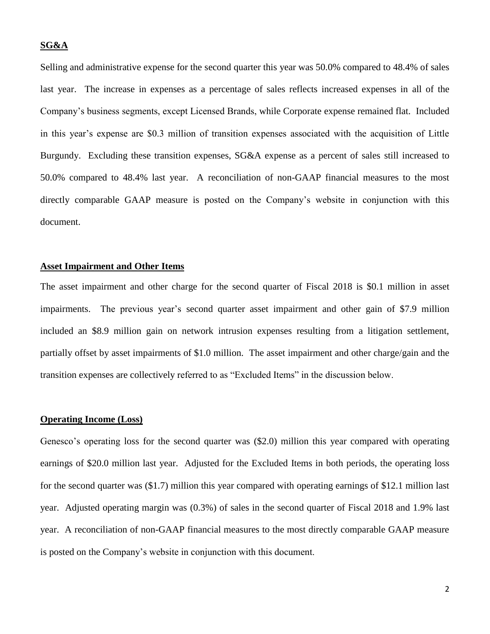# **SG&A**

Selling and administrative expense for the second quarter this year was 50.0% compared to 48.4% of sales last year. The increase in expenses as a percentage of sales reflects increased expenses in all of the Company's business segments, except Licensed Brands, while Corporate expense remained flat. Included in this year's expense are \$0.3 million of transition expenses associated with the acquisition of Little Burgundy. Excluding these transition expenses, SG&A expense as a percent of sales still increased to 50.0% compared to 48.4% last year. A reconciliation of non-GAAP financial measures to the most directly comparable GAAP measure is posted on the Company's website in conjunction with this document.

## **Asset Impairment and Other Items**

The asset impairment and other charge for the second quarter of Fiscal 2018 is \$0.1 million in asset impairments. The previous year's second quarter asset impairment and other gain of \$7.9 million included an \$8.9 million gain on network intrusion expenses resulting from a litigation settlement, partially offset by asset impairments of \$1.0 million. The asset impairment and other charge/gain and the transition expenses are collectively referred to as "Excluded Items" in the discussion below.

# **Operating Income (Loss)**

Genesco's operating loss for the second quarter was (\$2.0) million this year compared with operating earnings of \$20.0 million last year. Adjusted for the Excluded Items in both periods, the operating loss for the second quarter was (\$1.7) million this year compared with operating earnings of \$12.1 million last year. Adjusted operating margin was (0.3%) of sales in the second quarter of Fiscal 2018 and 1.9% last year. A reconciliation of non-GAAP financial measures to the most directly comparable GAAP measure is posted on the Company's website in conjunction with this document.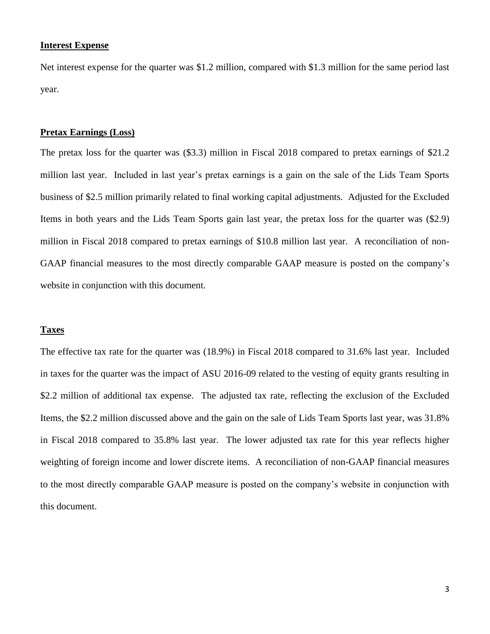# **Interest Expense**

Net interest expense for the quarter was \$1.2 million, compared with \$1.3 million for the same period last year.

# **Pretax Earnings (Loss)**

The pretax loss for the quarter was (\$3.3) million in Fiscal 2018 compared to pretax earnings of \$21.2 million last year. Included in last year's pretax earnings is a gain on the sale of the Lids Team Sports business of \$2.5 million primarily related to final working capital adjustments. Adjusted for the Excluded Items in both years and the Lids Team Sports gain last year, the pretax loss for the quarter was (\$2.9) million in Fiscal 2018 compared to pretax earnings of \$10.8 million last year. A reconciliation of non-GAAP financial measures to the most directly comparable GAAP measure is posted on the company's website in conjunction with this document.

## **Taxes**

The effective tax rate for the quarter was (18.9%) in Fiscal 2018 compared to 31.6% last year. Included in taxes for the quarter was the impact of ASU 2016-09 related to the vesting of equity grants resulting in \$2.2 million of additional tax expense. The adjusted tax rate, reflecting the exclusion of the Excluded Items, the \$2.2 million discussed above and the gain on the sale of Lids Team Sports last year, was 31.8% in Fiscal 2018 compared to 35.8% last year. The lower adjusted tax rate for this year reflects higher weighting of foreign income and lower discrete items. A reconciliation of non-GAAP financial measures to the most directly comparable GAAP measure is posted on the company's website in conjunction with this document.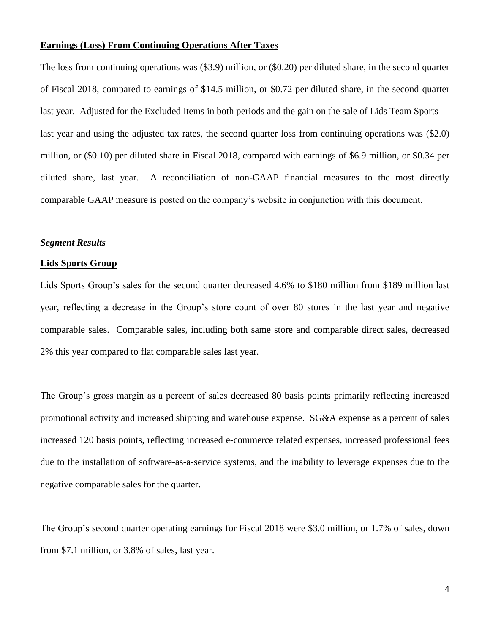# **Earnings (Loss) From Continuing Operations After Taxes**

The loss from continuing operations was (\$3.9) million, or (\$0.20) per diluted share, in the second quarter of Fiscal 2018, compared to earnings of \$14.5 million, or \$0.72 per diluted share, in the second quarter last year. Adjusted for the Excluded Items in both periods and the gain on the sale of Lids Team Sports last year and using the adjusted tax rates, the second quarter loss from continuing operations was (\$2.0) million, or (\$0.10) per diluted share in Fiscal 2018, compared with earnings of \$6.9 million, or \$0.34 per diluted share, last year. A reconciliation of non-GAAP financial measures to the most directly comparable GAAP measure is posted on the company's website in conjunction with this document.

# *Segment Results*

#### **Lids Sports Group**

Lids Sports Group's sales for the second quarter decreased 4.6% to \$180 million from \$189 million last year, reflecting a decrease in the Group's store count of over 80 stores in the last year and negative comparable sales. Comparable sales, including both same store and comparable direct sales, decreased 2% this year compared to flat comparable sales last year.

The Group's gross margin as a percent of sales decreased 80 basis points primarily reflecting increased promotional activity and increased shipping and warehouse expense. SG&A expense as a percent of sales increased 120 basis points, reflecting increased e-commerce related expenses, increased professional fees due to the installation of software-as-a-service systems, and the inability to leverage expenses due to the negative comparable sales for the quarter.

The Group's second quarter operating earnings for Fiscal 2018 were \$3.0 million, or 1.7% of sales, down from \$7.1 million, or 3.8% of sales, last year.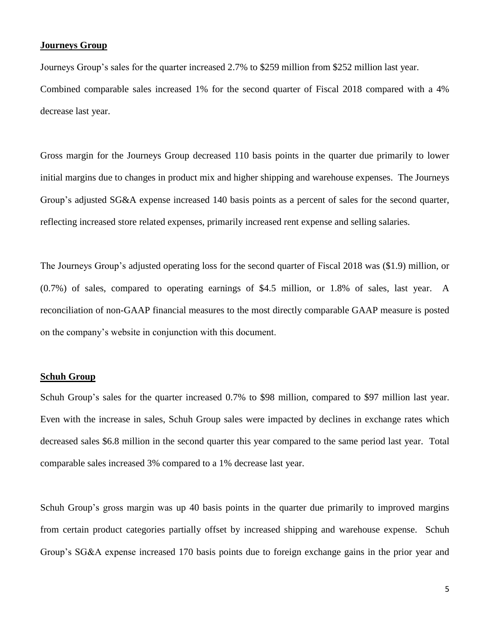# **Journeys Group**

Journeys Group's sales for the quarter increased 2.7% to \$259 million from \$252 million last year. Combined comparable sales increased 1% for the second quarter of Fiscal 2018 compared with a 4% decrease last year.

Gross margin for the Journeys Group decreased 110 basis points in the quarter due primarily to lower initial margins due to changes in product mix and higher shipping and warehouse expenses. The Journeys Group's adjusted SG&A expense increased 140 basis points as a percent of sales for the second quarter, reflecting increased store related expenses, primarily increased rent expense and selling salaries.

The Journeys Group's adjusted operating loss for the second quarter of Fiscal 2018 was (\$1.9) million, or (0.7%) of sales, compared to operating earnings of \$4.5 million, or 1.8% of sales, last year. A reconciliation of non-GAAP financial measures to the most directly comparable GAAP measure is posted on the company's website in conjunction with this document.

## **Schuh Group**

Schuh Group's sales for the quarter increased 0.7% to \$98 million, compared to \$97 million last year. Even with the increase in sales, Schuh Group sales were impacted by declines in exchange rates which decreased sales \$6.8 million in the second quarter this year compared to the same period last year. Total comparable sales increased 3% compared to a 1% decrease last year.

Schuh Group's gross margin was up 40 basis points in the quarter due primarily to improved margins from certain product categories partially offset by increased shipping and warehouse expense. Schuh Group's SG&A expense increased 170 basis points due to foreign exchange gains in the prior year and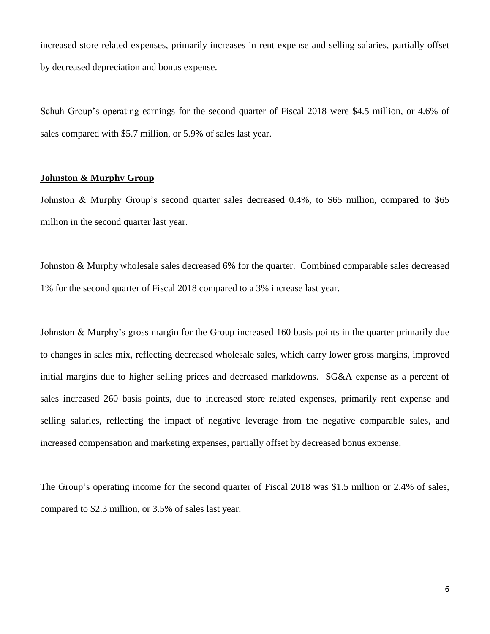increased store related expenses, primarily increases in rent expense and selling salaries, partially offset by decreased depreciation and bonus expense.

Schuh Group's operating earnings for the second quarter of Fiscal 2018 were \$4.5 million, or 4.6% of sales compared with \$5.7 million, or 5.9% of sales last year.

## **Johnston & Murphy Group**

Johnston & Murphy Group's second quarter sales decreased 0.4%, to \$65 million, compared to \$65 million in the second quarter last year.

Johnston & Murphy wholesale sales decreased 6% for the quarter. Combined comparable sales decreased 1% for the second quarter of Fiscal 2018 compared to a 3% increase last year.

Johnston & Murphy's gross margin for the Group increased 160 basis points in the quarter primarily due to changes in sales mix, reflecting decreased wholesale sales, which carry lower gross margins, improved initial margins due to higher selling prices and decreased markdowns. SG&A expense as a percent of sales increased 260 basis points, due to increased store related expenses, primarily rent expense and selling salaries, reflecting the impact of negative leverage from the negative comparable sales, and increased compensation and marketing expenses, partially offset by decreased bonus expense.

The Group's operating income for the second quarter of Fiscal 2018 was \$1.5 million or 2.4% of sales, compared to \$2.3 million, or 3.5% of sales last year.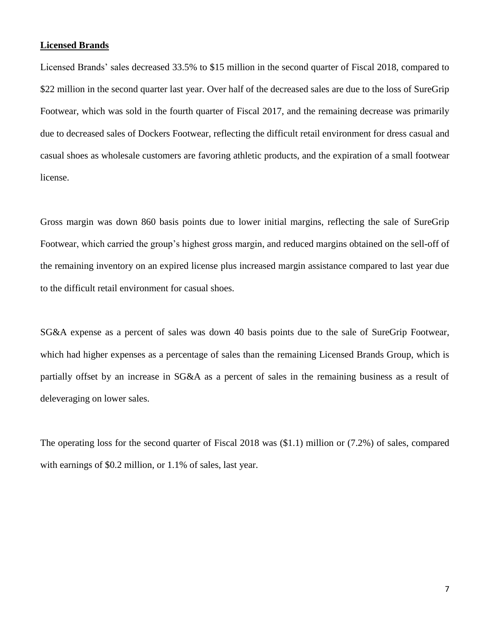# **Licensed Brands**

Licensed Brands' sales decreased 33.5% to \$15 million in the second quarter of Fiscal 2018, compared to \$22 million in the second quarter last year. Over half of the decreased sales are due to the loss of SureGrip Footwear, which was sold in the fourth quarter of Fiscal 2017, and the remaining decrease was primarily due to decreased sales of Dockers Footwear, reflecting the difficult retail environment for dress casual and casual shoes as wholesale customers are favoring athletic products, and the expiration of a small footwear license.

Gross margin was down 860 basis points due to lower initial margins, reflecting the sale of SureGrip Footwear, which carried the group's highest gross margin, and reduced margins obtained on the sell-off of the remaining inventory on an expired license plus increased margin assistance compared to last year due to the difficult retail environment for casual shoes.

SG&A expense as a percent of sales was down 40 basis points due to the sale of SureGrip Footwear, which had higher expenses as a percentage of sales than the remaining Licensed Brands Group, which is partially offset by an increase in SG&A as a percent of sales in the remaining business as a result of deleveraging on lower sales.

The operating loss for the second quarter of Fiscal 2018 was (\$1.1) million or (7.2%) of sales, compared with earnings of \$0.2 million, or 1.1% of sales, last year.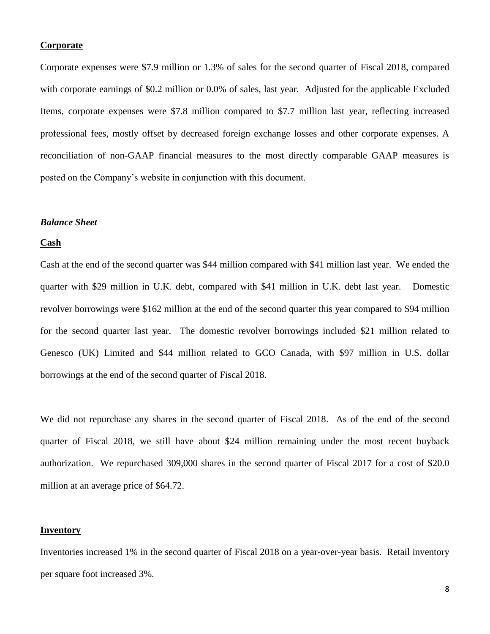# **Corporate**

Corporate expenses were \$7.9 million or 1.3% of sales for the second quarter of Fiscal 2018, compared with corporate earnings of \$0.2 million or 0.0% of sales, last year. Adjusted for the applicable Excluded Items, corporate expenses were \$7.8 million compared to \$7.7 million last year, reflecting increased professional fees, mostly offset by decreased foreign exchange losses and other corporate expenses. A reconciliation of non-GAAP financial measures to the most directly comparable GAAP measures is posted on the Company's website in conjunction with this document.

#### *Balance Sheet*

#### **Cash**

Cash at the end of the second quarter was \$44 million compared with \$41 million last year. We ended the quarter with \$29 million in U.K. debt, compared with \$41 million in U.K. debt last year. Domestic revolver borrowings were \$162 million at the end of the second quarter this year compared to \$94 million for the second quarter last year. The domestic revolver borrowings included \$21 million related to Genesco (UK) Limited and \$44 million related to GCO Canada, with \$97 million in U.S. dollar borrowings at the end of the second quarter of Fiscal 2018.

We did not repurchase any shares in the second quarter of Fiscal 2018. As of the end of the second quarter of Fiscal 2018, we still have about \$24 million remaining under the most recent buyback authorization. We repurchased 309,000 shares in the second quarter of Fiscal 2017 for a cost of \$20.0 million at an average price of \$64.72.

#### **Inventory**

Inventories increased 1% in the second quarter of Fiscal 2018 on a year-over-year basis. Retail inventory per square foot increased 3%.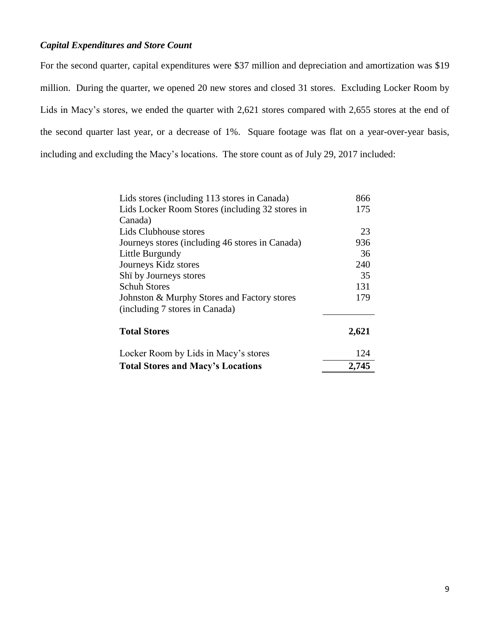# *Capital Expenditures and Store Count*

For the second quarter, capital expenditures were \$37 million and depreciation and amortization was \$19 million. During the quarter, we opened 20 new stores and closed 31 stores. Excluding Locker Room by Lids in Macy's stores, we ended the quarter with 2,621 stores compared with 2,655 stores at the end of the second quarter last year, or a decrease of 1%. Square footage was flat on a year-over-year basis, including and excluding the Macy's locations. The store count as of July 29, 2017 included:

| Lids stores (including 113 stores in Canada)    | 866   |
|-------------------------------------------------|-------|
| Lids Locker Room Stores (including 32 stores in | 175   |
| Canada)                                         |       |
| Lids Clubhouse stores                           | 23    |
| Journeys stores (including 46 stores in Canada) | 936   |
| Little Burgundy                                 | 36    |
| Journeys Kidz stores                            | 240   |
| Shi by Journeys stores                          | 35    |
| <b>Schuh Stores</b>                             | 131   |
| Johnston & Murphy Stores and Factory stores     | 179   |
| (including 7 stores in Canada)                  |       |
| <b>Total Stores</b>                             | 2,621 |
| Locker Room by Lids in Macy's stores            | 124   |
| <b>Total Stores and Macy's Locations</b>        | 2,745 |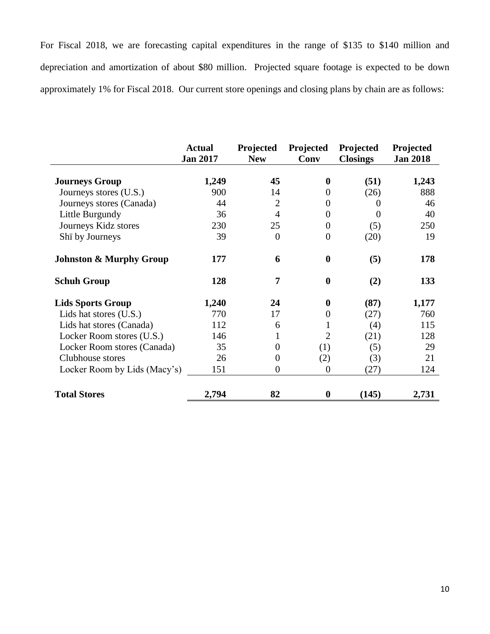For Fiscal 2018, we are forecasting capital expenditures in the range of \$135 to \$140 million and depreciation and amortization of about \$80 million. Projected square footage is expected to be down approximately 1% for Fiscal 2018. Our current store openings and closing plans by chain are as follows:

|                                    | <b>Actual</b><br><b>Jan 2017</b> | Projected<br><b>New</b> | Projected<br>Conv | Projected<br><b>Closings</b> | Projected<br><b>Jan 2018</b> |
|------------------------------------|----------------------------------|-------------------------|-------------------|------------------------------|------------------------------|
| <b>Journeys Group</b>              | 1,249                            | 45                      | $\boldsymbol{0}$  | (51)                         | 1,243                        |
| Journeys stores (U.S.)             | 900                              | 14                      | $\Omega$          | (26)                         | 888                          |
| Journeys stores (Canada)           | 44                               | $\overline{2}$          | $\overline{0}$    | $\Omega$                     | 46                           |
| Little Burgundy                    | 36                               | $\overline{4}$          | $\Omega$          | $\Omega$                     | 40                           |
| Journeys Kidz stores               | 230                              | 25                      | $\overline{0}$    | (5)                          | 250                          |
| Shi by Journeys                    | 39                               | $\theta$                | $\overline{0}$    | (20)                         | 19                           |
| <b>Johnston &amp; Murphy Group</b> | 177                              | 6                       | $\boldsymbol{0}$  | (5)                          | 178                          |
| <b>Schuh Group</b>                 | 128                              | 7                       | $\boldsymbol{0}$  | (2)                          | 133                          |
| <b>Lids Sports Group</b>           | 1,240                            | 24                      | $\bf{0}$          | (87)                         | 1,177                        |
| Lids hat stores (U.S.)             | 770                              | 17                      | $\overline{0}$    | (27)                         | 760                          |
| Lids hat stores (Canada)           | 112                              | 6                       | 1                 | (4)                          | 115                          |
| Locker Room stores (U.S.)          | 146                              | 1                       | $\overline{2}$    | (21)                         | 128                          |
| Locker Room stores (Canada)        | 35                               | $\Omega$                | (1)               | (5)                          | 29                           |
| Clubhouse stores                   | 26                               | $\theta$                | (2)               | (3)                          | 21                           |
| Locker Room by Lids (Macy's)       | 151                              | $\theta$                | $\theta$          | (27)                         | 124                          |
| <b>Total Stores</b>                | 2,794                            | 82                      | 0                 | (145)                        | 2,731                        |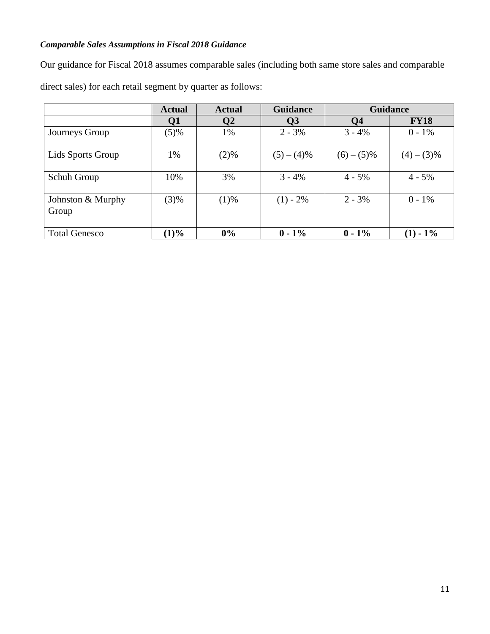# *Comparable Sales Assumptions in Fiscal 2018 Guidance*

Our guidance for Fiscal 2018 assumes comparable sales (including both same store sales and comparable

direct sales) for each retail segment by quarter as follows:

|                            | <b>Actual</b> | <b>Actual</b> | <b>Guidance</b> | <b>Guidance</b> |             |
|----------------------------|---------------|---------------|-----------------|-----------------|-------------|
|                            | Q1            | Q2            | Q <sub>3</sub>  | Q <sub>4</sub>  | <b>FY18</b> |
| Journeys Group             | (5)%          | 1%            | $2 - 3\%$       | $3 - 4\%$       | $0 - 1\%$   |
| Lids Sports Group          | 1%            | (2)%          | $(5)-(4)\%$     | $(6)-(5)\%$     | $(4)-(3)\%$ |
| Schuh Group                | 10%           | 3%            | $3 - 4%$        | $4 - 5\%$       | $4 - 5\%$   |
| Johnston & Murphy<br>Group | (3)%          | (1)%          | $(1) - 2\%$     | $2 - 3\%$       | $0 - 1\%$   |
| <b>Total Genesco</b>       | $(1)\%$       | 0%            | $0 - 1\%$       | $0 - 1\%$       | $(1) - 1\%$ |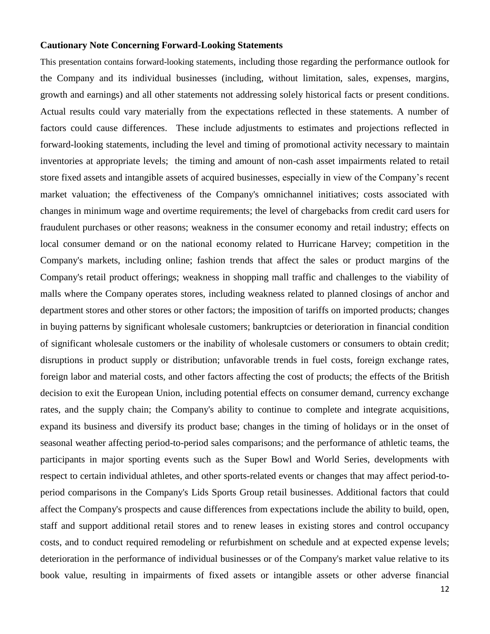## **Cautionary Note Concerning Forward-Looking Statements**

This presentation contains forward-looking statements, including those regarding the performance outlook for the Company and its individual businesses (including, without limitation, sales, expenses, margins, growth and earnings) and all other statements not addressing solely historical facts or present conditions. Actual results could vary materially from the expectations reflected in these statements. A number of factors could cause differences. These include adjustments to estimates and projections reflected in forward-looking statements, including the level and timing of promotional activity necessary to maintain inventories at appropriate levels; the timing and amount of non-cash asset impairments related to retail store fixed assets and intangible assets of acquired businesses, especially in view of the Company's recent market valuation; the effectiveness of the Company's omnichannel initiatives; costs associated with changes in minimum wage and overtime requirements; the level of chargebacks from credit card users for fraudulent purchases or other reasons; weakness in the consumer economy and retail industry; effects on local consumer demand or on the national economy related to Hurricane Harvey; competition in the Company's markets, including online; fashion trends that affect the sales or product margins of the Company's retail product offerings; weakness in shopping mall traffic and challenges to the viability of malls where the Company operates stores, including weakness related to planned closings of anchor and department stores and other stores or other factors; the imposition of tariffs on imported products; changes in buying patterns by significant wholesale customers; bankruptcies or deterioration in financial condition of significant wholesale customers or the inability of wholesale customers or consumers to obtain credit; disruptions in product supply or distribution; unfavorable trends in fuel costs, foreign exchange rates, foreign labor and material costs, and other factors affecting the cost of products; the effects of the British decision to exit the European Union, including potential effects on consumer demand, currency exchange rates, and the supply chain; the Company's ability to continue to complete and integrate acquisitions, expand its business and diversify its product base; changes in the timing of holidays or in the onset of seasonal weather affecting period-to-period sales comparisons; and the performance of athletic teams, the participants in major sporting events such as the Super Bowl and World Series, developments with respect to certain individual athletes, and other sports-related events or changes that may affect period-toperiod comparisons in the Company's Lids Sports Group retail businesses. Additional factors that could affect the Company's prospects and cause differences from expectations include the ability to build, open, staff and support additional retail stores and to renew leases in existing stores and control occupancy costs, and to conduct required remodeling or refurbishment on schedule and at expected expense levels; deterioration in the performance of individual businesses or of the Company's market value relative to its book value, resulting in impairments of fixed assets or intangible assets or other adverse financial